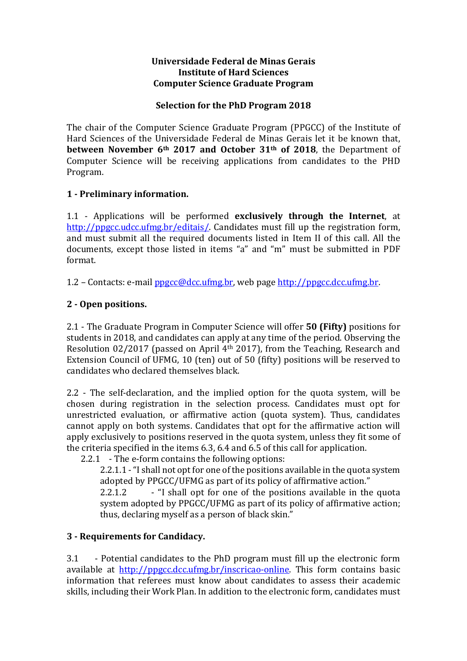#### Universidade Federal de Minas Gerais Institute of Hard Sciences Computer Science Graduate Program

### Selection for the PhD Program 2018

The chair of the Computer Science Graduate Program (PPGCC) of the Institute of Hard Sciences of the Universidade Federal de Minas Gerais let it be known that, between November 6<sup>th</sup> 2017 and October 31<sup>th</sup> of 2018, the Department of Computer Science will be receiving applications from candidates to the PHD Program.

### 1 - Preliminary information.

1.1 - Applications will be performed exclusively through the Internet, at http://ppgcc.udcc.ufmg.br/editais/. Candidates must fill up the registration form, and must submit all the required documents listed in Item II of this call. All the documents, except those listed in items "a" and "m" must be submitted in PDF format.

1.2 – Contacts: e-mail ppgcc@dcc.ufmg.br, web page http://ppgcc.dcc.ufmg.br.

# 2 - Open positions.

2.1 - The Graduate Program in Computer Science will offer **50 (Fifty)** positions for students in 2018, and candidates can apply at any time of the period. Observing the Resolution 02/2017 (passed on April 4th 2017), from the Teaching, Research and Extension Council of UFMG, 10 (ten) out of 50 (fifty) positions will be reserved to candidates who declared themselves black.

2.2 - The self-declaration, and the implied option for the quota system, will be chosen during registration in the selection process. Candidates must opt for unrestricted evaluation, or affirmative action (quota system). Thus, candidates cannot apply on both systems. Candidates that opt for the affirmative action will apply exclusively to positions reserved in the quota system, unless they fit some of the criteria specified in the items 6.3, 6.4 and 6.5 of this call for application.

2.2.1 - The e-form contains the following options:

2.2.1.1 - "I shall not opt for one of the positions available in the quota system adopted by PPGCC/UFMG as part of its policy of affirmative action."

2.2.1.2 - "I shall opt for one of the positions available in the quota system adopted by PPGCC/UFMG as part of its policy of affirmative action; thus, declaring myself as a person of black skin."

# 3 - Requirements for Candidacy.

3.1 - Potential candidates to the PhD program must fill up the electronic form available at http://ppgcc.dcc.ufmg.br/inscricao-online. This form contains basic information that referees must know about candidates to assess their academic skills, including their Work Plan. In addition to the electronic form, candidates must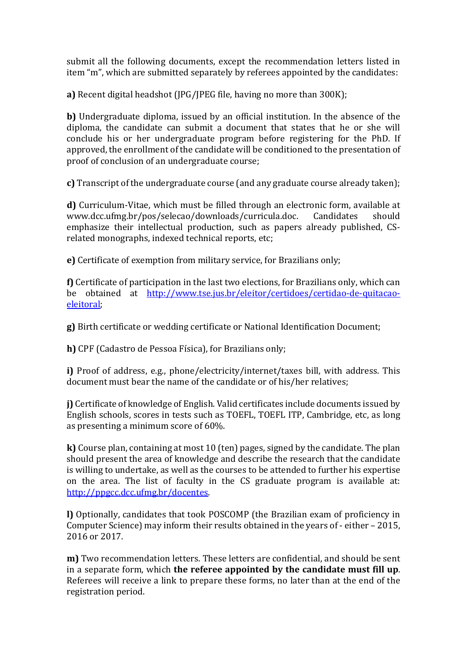submit all the following documents, except the recommendation letters listed in item "m", which are submitted separately by referees appointed by the candidates:

a) Recent digital headshot (JPG/JPEG file, having no more than 300K);

b) Undergraduate diploma, issued by an official institution. In the absence of the diploma, the candidate can submit a document that states that he or she will conclude his or her undergraduate program before registering for the PhD. If approved, the enrollment of the candidate will be conditioned to the presentation of proof of conclusion of an undergraduate course;

c) Transcript of the undergraduate course (and any graduate course already taken);

d) Curriculum-Vitae, which must be filled through an electronic form, available at www.dcc.ufmg.br/pos/selecao/downloads/curricula.doc. Candidates should emphasize their intellectual production, such as papers already published, CSrelated monographs, indexed technical reports, etc;

e) Certificate of exemption from military service, for Brazilians only;

f) Certificate of participation in the last two elections, for Brazilians only, which can be obtained at http://www.tse.jus.br/eleitor/certidoes/certidao-de-quitacaoeleitoral;

g) Birth certificate or wedding certificate or National Identification Document;

h) CPF (Cadastro de Pessoa Física), for Brazilians only;

i) Proof of address, e.g., phone/electricity/internet/taxes bill, with address. This document must bear the name of the candidate or of his/her relatives;

j) Certificate of knowledge of English. Valid certificates include documents issued by English schools, scores in tests such as TOEFL, TOEFL ITP, Cambridge, etc, as long as presenting a minimum score of 60%.

k) Course plan, containing at most 10 (ten) pages, signed by the candidate. The plan should present the area of knowledge and describe the research that the candidate is willing to undertake, as well as the courses to be attended to further his expertise on the area. The list of faculty in the CS graduate program is available at: http://ppgcc.dcc.ufmg.br/docentes.

l) Optionally, candidates that took POSCOMP (the Brazilian exam of proficiency in Computer Science) may inform their results obtained in the years of - either – 2015, 2016 or 2017.

m) Two recommendation letters. These letters are confidential, and should be sent in a separate form, which the referee appointed by the candidate must fill up. Referees will receive a link to prepare these forms, no later than at the end of the registration period.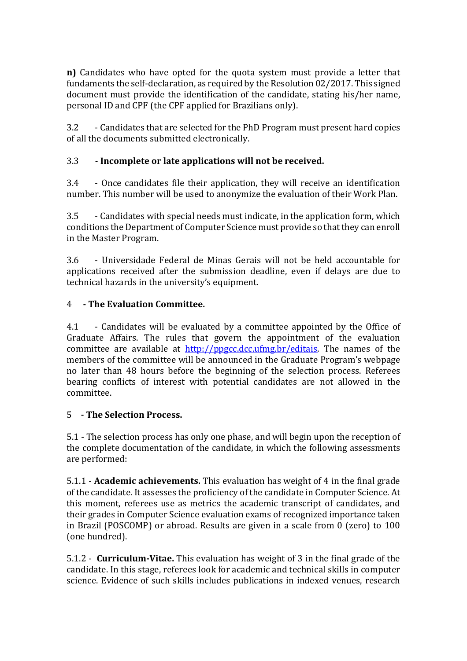n) Candidates who have opted for the quota system must provide a letter that fundaments the self-declaration, as required by the Resolution 02/2017. This signed document must provide the identification of the candidate, stating his/her name, personal ID and CPF (the CPF applied for Brazilians only).

3.2 - Candidates that are selected for the PhD Program must present hard copies of all the documents submitted electronically.

# 3.3 - Incomplete or late applications will not be received.

3.4 - Once candidates file their application, they will receive an identification number. This number will be used to anonymize the evaluation of their Work Plan.

3.5 - Candidates with special needs must indicate, in the application form, which conditions the Department of Computer Science must provide so that they can enroll in the Master Program.

3.6 - Universidade Federal de Minas Gerais will not be held accountable for applications received after the submission deadline, even if delays are due to technical hazards in the university's equipment.

# 4 - The Evaluation Committee.

4.1 - Candidates will be evaluated by a committee appointed by the Office of Graduate Affairs. The rules that govern the appointment of the evaluation committee are available at http://ppgcc.dcc.ufmg.br/editais. The names of the members of the committee will be announced in the Graduate Program's webpage no later than 48 hours before the beginning of the selection process. Referees bearing conflicts of interest with potential candidates are not allowed in the committee.

# 5 - The Selection Process.

5.1 - The selection process has only one phase, and will begin upon the reception of the complete documentation of the candidate, in which the following assessments are performed:

5.1.1 - Academic achievements. This evaluation has weight of 4 in the final grade of the candidate. It assesses the proficiency of the candidate in Computer Science. At this moment, referees use as metrics the academic transcript of candidates, and their grades in Computer Science evaluation exams of recognized importance taken in Brazil (POSCOMP) or abroad. Results are given in a scale from 0 (zero) to 100 (one hundred).

5.1.2 - Curriculum-Vitae. This evaluation has weight of 3 in the final grade of the candidate. In this stage, referees look for academic and technical skills in computer science. Evidence of such skills includes publications in indexed venues, research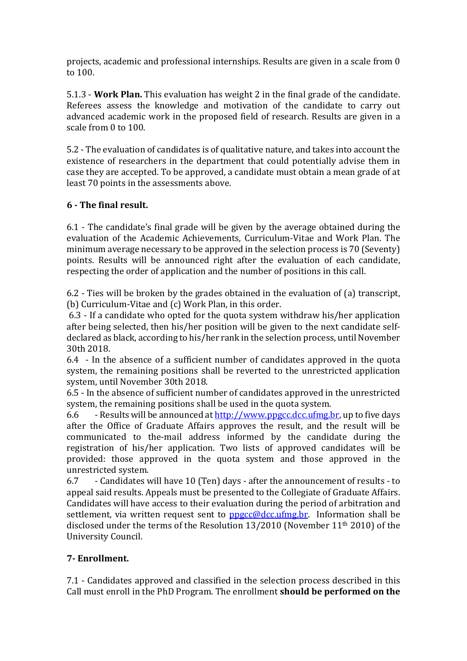projects, academic and professional internships. Results are given in a scale from 0 to 100.

5.1.3 - Work Plan. This evaluation has weight 2 in the final grade of the candidate. Referees assess the knowledge and motivation of the candidate to carry out advanced academic work in the proposed field of research. Results are given in a scale from 0 to 100.

5.2 - The evaluation of candidates is of qualitative nature, and takes into account the existence of researchers in the department that could potentially advise them in case they are accepted. To be approved, a candidate must obtain a mean grade of at least 70 points in the assessments above.

# 6 - The final result.

6.1 - The candidate's final grade will be given by the average obtained during the evaluation of the Academic Achievements, Curriculum-Vitae and Work Plan. The minimum average necessary to be approved in the selection process is 70 (Seventy) points. Results will be announced right after the evaluation of each candidate, respecting the order of application and the number of positions in this call.

6.2 - Ties will be broken by the grades obtained in the evaluation of (a) transcript, (b) Curriculum-Vitae and (c) Work Plan, in this order.

 6.3 - If a candidate who opted for the quota system withdraw his/her application after being selected, then his/her position will be given to the next candidate selfdeclared as black, according to his/her rank in the selection process, until November 30th 2018.

6.4 - In the absence of a sufficient number of candidates approved in the quota system, the remaining positions shall be reverted to the unrestricted application system, until November 30th 2018.

6.5 - In the absence of sufficient number of candidates approved in the unrestricted system, the remaining positions shall be used in the quota system.

6.6 - Results will be announced at <u>http://www.ppgcc.dcc.ufmg.br</u>, up to five days after the Office of Graduate Affairs approves the result, and the result will be communicated to the-mail address informed by the candidate during the registration of his/her application. Two lists of approved candidates will be provided: those approved in the quota system and those approved in the unrestricted system.

6.7 - Candidates will have 10 (Ten) days - after the announcement of results - to appeal said results. Appeals must be presented to the Collegiate of Graduate Affairs. Candidates will have access to their evaluation during the period of arbitration and settlement, via written request sent to ppgcc@dcc.ufmg.br. Information shall be disclosed under the terms of the Resolution 13/2010 (November 11th 2010) of the University Council.

# 7- Enrollment.

7.1 - Candidates approved and classified in the selection process described in this Call must enroll in the PhD Program. The enrollment should be performed on the